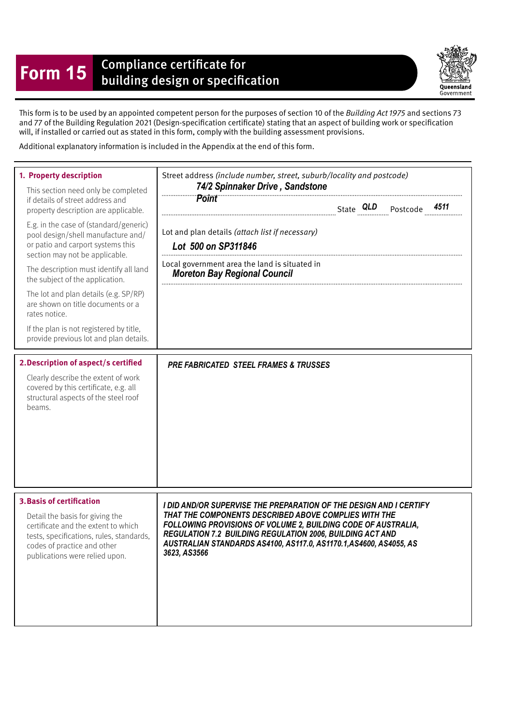## **Form 15** Compliance certificate for<br>building design or specification

Queensland Government

This form is to be used by an appointed competent person for the purposes of section 10 of the Building Act 1975 and sections 73 and 77 of the Building Regulation 2021 (Design-specifcation certifcate) stating that an aspect of building work or specifcation will, if installed or carried out as stated in this form, comply with the building assessment provisions.

Additional explanatory information is included in the Appendix at the end of this form.

| 1. Property description<br>This section need only be completed<br>if details of street address and<br>property description are applicable.<br>E.g. in the case of (standard/generic)<br>pool design/shell manufacture and/<br>or patio and carport systems this<br>section may not be applicable.<br>The description must identify all land<br>the subject of the application.<br>The lot and plan details (e.g. SP/RP)<br>are shown on title documents or a<br>rates notice.<br>If the plan is not registered by title,<br>provide previous lot and plan details.<br>2. Description of aspect/s certified<br>Clearly describe the extent of work | Street address (include number, street, suburb/locality and postcode)<br>74/2 Spinnaker Drive, Sandstone<br><b>Point</b><br>4511<br>Lot and plan details (attach list if necessary)<br>Lot 500 on SP311846<br>Local government area the land is situated in<br><b>Moreton Bay Regional Council</b><br><b>PRE FABRICATED STEEL FRAMES &amp; TRUSSES</b> |
|---------------------------------------------------------------------------------------------------------------------------------------------------------------------------------------------------------------------------------------------------------------------------------------------------------------------------------------------------------------------------------------------------------------------------------------------------------------------------------------------------------------------------------------------------------------------------------------------------------------------------------------------------|--------------------------------------------------------------------------------------------------------------------------------------------------------------------------------------------------------------------------------------------------------------------------------------------------------------------------------------------------------|
| covered by this certificate, e.g. all<br>structural aspects of the steel roof<br>beams.                                                                                                                                                                                                                                                                                                                                                                                                                                                                                                                                                           |                                                                                                                                                                                                                                                                                                                                                        |
| <b>3. Basis of certification</b><br>Detail the basis for giving the<br>certificate and the extent to which<br>tests, specifications, rules, standards,<br>codes of practice and other<br>publications were relied upon.                                                                                                                                                                                                                                                                                                                                                                                                                           | I DID AND/OR SUPERVISE THE PREPARATION OF THE DESIGN AND I CERTIFY<br>THAT THE COMPONENTS DESCRIBED ABOVE COMPLIES WITH THE<br>FOLLOWING PROVISIONS OF VOLUME 2, BUILDING CODE OF AUSTRALIA,<br><b>REGULATION 7.2 BUILDING REGULATION 2006, BUILDING ACT AND</b><br>AUSTRALIAN STANDARDS AS4100, AS117.0, AS1170.1, AS4600, AS4055, AS<br>3623, AS3566 |